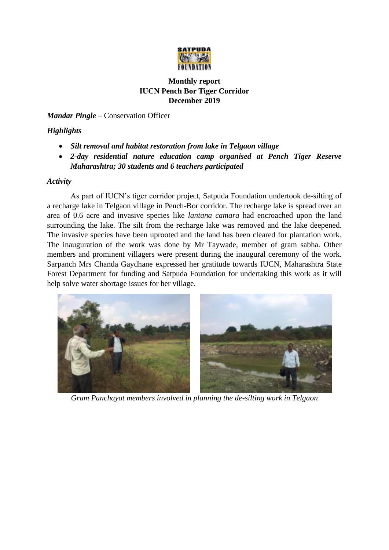

## **Monthly report IUCN Pench Bor Tiger Corridor December 2019**

*Mandar Pingle* – Conservation Officer

## *Highlights*

- *Silt removal and habitat restoration from lake in Telgaon village*
- *2-day residential nature education camp organised at Pench Tiger Reserve Maharashtra; 30 students and 6 teachers participated*

## *Activity*

As part of IUCN's tiger corridor project, Satpuda Foundation undertook de-silting of a recharge lake in Telgaon village in Pench-Bor corridor. The recharge lake is spread over an area of 0.6 acre and invasive species like *lantana camara* had encroached upon the land surrounding the lake. The silt from the recharge lake was removed and the lake deepened. The invasive species have been uprooted and the land has been cleared for plantation work. The inauguration of the work was done by Mr Taywade, member of gram sabha. Other members and prominent villagers were present during the inaugural ceremony of the work. Sarpanch Mrs Chanda Gaydhane expressed her gratitude towards IUCN, Maharashtra State Forest Department for funding and Satpuda Foundation for undertaking this work as it will help solve water shortage issues for her village.



*Gram Panchayat members involved in planning the de-silting work in Telgaon*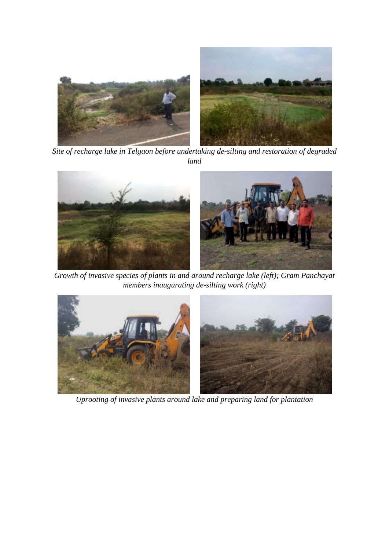

*Site of recharge lake in Telgaon before undertaking de-silting and restoration of degraded land* 



*Growth of invasive species of plants in and around recharge lake (left); Gram Panchayat members inaugurating de-silting work (right)*



*Uprooting of invasive plants around lake and preparing land for plantation*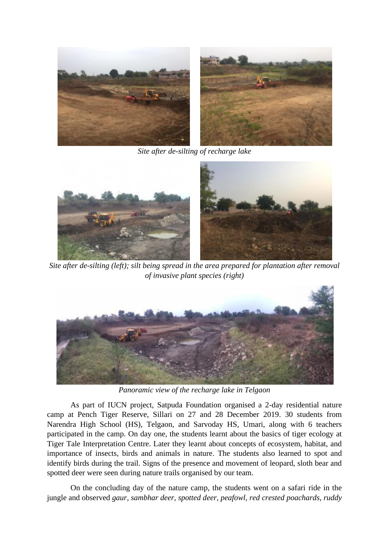

*Site after de-silting of recharge lake*



*Site after de-silting (left); silt being spread in the area prepared for plantation after removal of invasive plant species (right)*



*Panoramic view of the recharge lake in Telgaon* 

As part of IUCN project, Satpuda Foundation organised a 2-day residential nature camp at Pench Tiger Reserve, Sillari on 27 and 28 December 2019. 30 students from Narendra High School (HS), Telgaon, and Sarvoday HS, Umari, along with 6 teachers participated in the camp. On day one, the students learnt about the basics of tiger ecology at Tiger Tale Interpretation Centre. Later they learnt about concepts of ecosystem, habitat, and importance of insects, birds and animals in nature. The students also learned to spot and identify birds during the trail. Signs of the presence and movement of leopard, sloth bear and spotted deer were seen during nature trails organised by our team.

On the concluding day of the nature camp, the students went on a safari ride in the jungle and observed *gaur, sambhar deer, spotted deer, peafowl, red crested poachards, ruddy*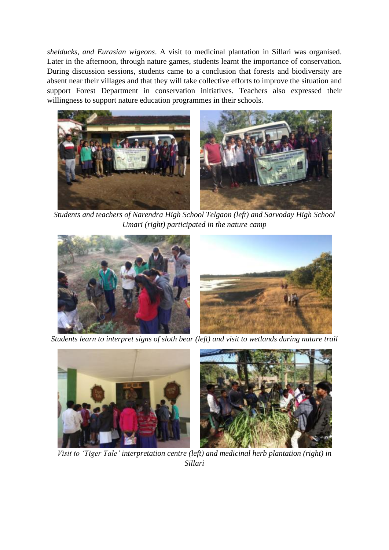*shelducks, and Eurasian wigeons*. A visit to medicinal plantation in Sillari was organised. Later in the afternoon, through nature games, students learnt the importance of conservation. During discussion sessions, students came to a conclusion that forests and biodiversity are absent near their villages and that they will take collective efforts to improve the situation and support Forest Department in conservation initiatives. Teachers also expressed their willingness to support nature education programmes in their schools.



*Students and teachers of Narendra High School Telgaon (left) and Sarvoday High School Umari (right) participated in the nature camp*



*Students learn to interpret signs of sloth bear (left) and visit to wetlands during nature trail*



*Visit to 'Tiger Tale' interpretation centre (left) and medicinal herb plantation (right) in Sillari*